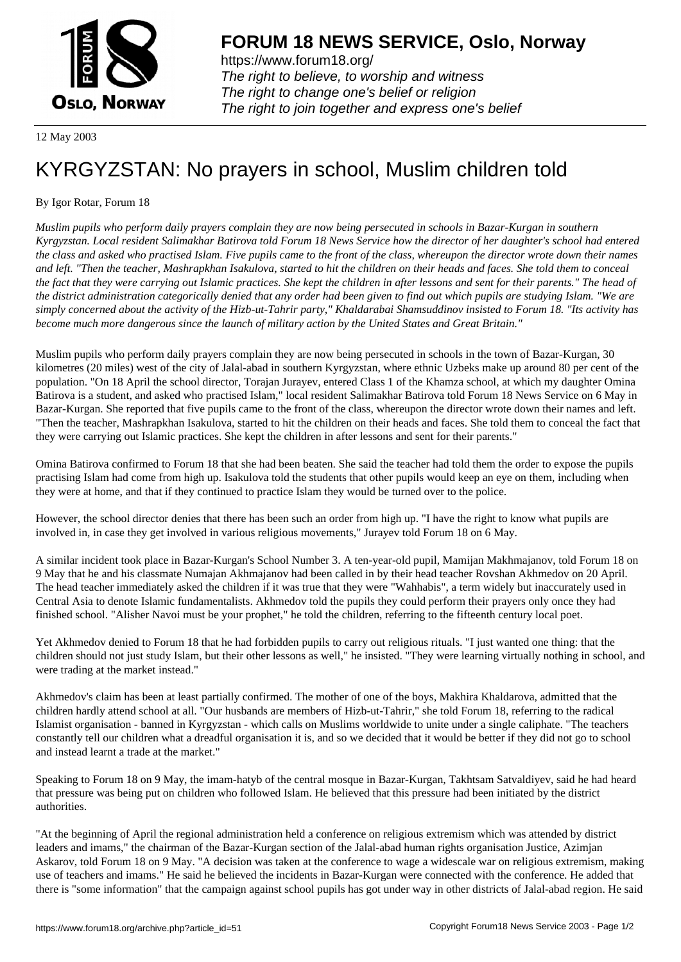

https://www.forum18.org/ The right to believe, to worship and witness The right to change one's belief or religion [The right to join together a](https://www.forum18.org/)nd express one's belief

12 May 2003

## [KYRGYZSTAN](https://www.forum18.org): No prayers in school, Muslim children told

## By Igor Rotar, Forum 18

*Muslim pupils who perform daily prayers complain they are now being persecuted in schools in Bazar-Kurgan in southern Kyrgyzstan. Local resident Salimakhar Batirova told Forum 18 News Service how the director of her daughter's school had entered the class and asked who practised Islam. Five pupils came to the front of the class, whereupon the director wrote down their names and left. "Then the teacher, Mashrapkhan Isakulova, started to hit the children on their heads and faces. She told them to conceal the fact that they were carrying out Islamic practices. She kept the children in after lessons and sent for their parents." The head of the district administration categorically denied that any order had been given to find out which pupils are studying Islam. "We are simply concerned about the activity of the Hizb-ut-Tahrir party," Khaldarabai Shamsuddinov insisted to Forum 18. "Its activity has become much more dangerous since the launch of military action by the United States and Great Britain."*

Muslim pupils who perform daily prayers complain they are now being persecuted in schools in the town of Bazar-Kurgan, 30 kilometres (20 miles) west of the city of Jalal-abad in southern Kyrgyzstan, where ethnic Uzbeks make up around 80 per cent of the population. "On 18 April the school director, Torajan Jurayev, entered Class 1 of the Khamza school, at which my daughter Omina Batirova is a student, and asked who practised Islam," local resident Salimakhar Batirova told Forum 18 News Service on 6 May in Bazar-Kurgan. She reported that five pupils came to the front of the class, whereupon the director wrote down their names and left. "Then the teacher, Mashrapkhan Isakulova, started to hit the children on their heads and faces. She told them to conceal the fact that they were carrying out Islamic practices. She kept the children in after lessons and sent for their parents."

Omina Batirova confirmed to Forum 18 that she had been beaten. She said the teacher had told them the order to expose the pupils practising Islam had come from high up. Isakulova told the students that other pupils would keep an eye on them, including when they were at home, and that if they continued to practice Islam they would be turned over to the police.

However, the school director denies that there has been such an order from high up. "I have the right to know what pupils are involved in, in case they get involved in various religious movements," Jurayev told Forum 18 on 6 May.

A similar incident took place in Bazar-Kurgan's School Number 3. A ten-year-old pupil, Mamijan Makhmajanov, told Forum 18 on 9 May that he and his classmate Numajan Akhmajanov had been called in by their head teacher Rovshan Akhmedov on 20 April. The head teacher immediately asked the children if it was true that they were "Wahhabis", a term widely but inaccurately used in Central Asia to denote Islamic fundamentalists. Akhmedov told the pupils they could perform their prayers only once they had finished school. "Alisher Navoi must be your prophet," he told the children, referring to the fifteenth century local poet.

Yet Akhmedov denied to Forum 18 that he had forbidden pupils to carry out religious rituals. "I just wanted one thing: that the children should not just study Islam, but their other lessons as well," he insisted. "They were learning virtually nothing in school, and were trading at the market instead."

Akhmedov's claim has been at least partially confirmed. The mother of one of the boys, Makhira Khaldarova, admitted that the children hardly attend school at all. "Our husbands are members of Hizb-ut-Tahrir," she told Forum 18, referring to the radical Islamist organisation - banned in Kyrgyzstan - which calls on Muslims worldwide to unite under a single caliphate. "The teachers constantly tell our children what a dreadful organisation it is, and so we decided that it would be better if they did not go to school and instead learnt a trade at the market."

Speaking to Forum 18 on 9 May, the imam-hatyb of the central mosque in Bazar-Kurgan, Takhtsam Satvaldiyev, said he had heard that pressure was being put on children who followed Islam. He believed that this pressure had been initiated by the district authorities.

"At the beginning of April the regional administration held a conference on religious extremism which was attended by district leaders and imams," the chairman of the Bazar-Kurgan section of the Jalal-abad human rights organisation Justice, Azimjan Askarov, told Forum 18 on 9 May. "A decision was taken at the conference to wage a widescale war on religious extremism, making use of teachers and imams." He said he believed the incidents in Bazar-Kurgan were connected with the conference. He added that there is "some information" that the campaign against school pupils has got under way in other districts of Jalal-abad region. He said